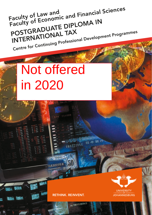Faculty of Law and<br>Faculty of Economic and Financial Sciences POSTGRADUATE DIPLOMA IN INTERNATIONAL TAX Centre for Continuing Professional Development Programmes

# Not offered in 2020

**RETHINK. REINVENT.** 

AL9811289A



**JOHANNESBURG**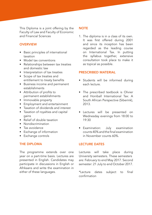This Diploma is a joint offering by the Faculty of Law and Faculty of Economic and Financial Sciences

## **OVERVIEW**

- Basic principles of international taxation
- Model tax conventions
- Relationships between tax treaties and domestic law
- Interpretation of tax treaties
- Scope of tax treaties and entitlement to treaty benefits
- Business income and permanent establishments
- Attribution of profits to permanent establishments
- Immovable property
- Employment and entertainment
- Taxation of dividends and interest
- Taxation of royalties and capital gains
- Relief of double taxation
- Nondiscrimination
- Tax avoidance
- Exchange of information
- Exchange controls

# THE DIPLOMA

The programme extends over one year on a part-time basis. Lectures are presented in English. Candidates may participate in discussions in English or Afrikaans and write the examination in either of these languages.

## **NOTE**

1. The diploma is in a class of its own. It was first offered during 2001 and since its inception has been regarded as the leading course on International Tax. In putting the syllabus together, extensive consultation took place to make it as topical as possible.

## PRESCRIBED MATERIAL

- Students will be informed during each lecture.
- The prescribed textbook is Olivier and Honiball International Tax: A South African Perspective (Siberink), 2013.
- Lectures will be presented on Wednesday evenings from 18:00 to 19:30
- Examination: July examination counts 40% and the final examination in November counts 60%.

# LECTURE DATES

Lectures will take place during University semesters. These semesters are: February to end May 2017. Second semester: 21 July to end October 2017.

\*Lecture dates subject to final confirmation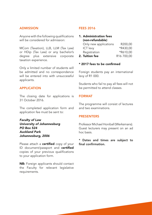#### **ADMISSION**

Anyone with the following qualifications will be considered for admission:

MCom (Taxation), LLB, LLM (Tax Law) or HDip (Tax Law) or any bachelor's degree plus extensive corporate taxation experience.

Only a limited number of students will be admitted and no correspondence will be entered into with unsuccessful applicants.

## APPLICATION

The closing date for applications is 31 October 2016.

The completed application form and application fee must be sent to:

*Faculty of Law University of Johannesburg PO Box 524 Auckland Park Johannesburg, 2006*

Please attach a **certified** copy of your ID document/passport and certified copies of your previous qualifications to your application form.

**NB:** Foreign applicants should contact the Faculty for relevant legislative requirements.

## FEES 2016

1. Administration fees (non-refundable) Only new applications R200,00

| 2. Tuition fee  | R <sub>16</sub> 700,00 |
|-----------------|------------------------|
| Registration    | *R610,00               |
| <b>ICT</b> levy | *R430,00               |

## \* 2017 fees to be confirmed

Foreign students pay an international levy of R1 000.

Students who fail to pay all fees will not be permitted to attend classes.

### FORMAT

The programme will consist of lectures and two examinations.

#### **PRESENTERS**

Professor Michael Honiball (Werksmans). Guest lecturers may present on an ad hoc basis.

Dates and times are subject to final confirmation.